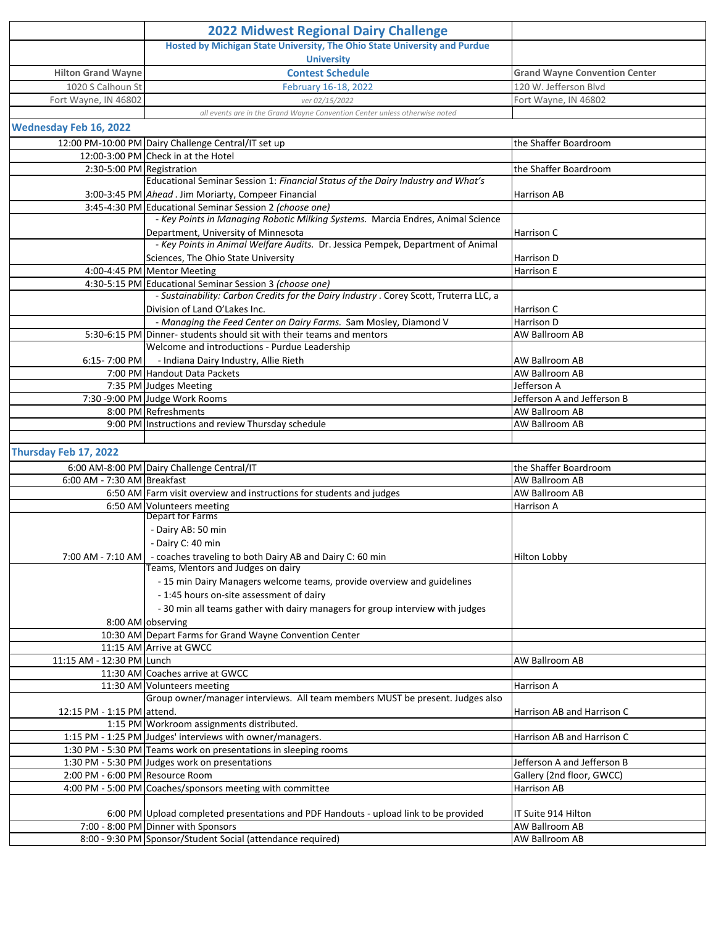|                                 | <b>2022 Midwest Regional Dairy Challenge</b>                                                                                              |                                      |  |
|---------------------------------|-------------------------------------------------------------------------------------------------------------------------------------------|--------------------------------------|--|
|                                 | Hosted by Michigan State University, The Ohio State University and Purdue                                                                 |                                      |  |
|                                 | <b>University</b>                                                                                                                         |                                      |  |
| <b>Hilton Grand Wayne</b>       | <b>Contest Schedule</b>                                                                                                                   | <b>Grand Wayne Convention Center</b> |  |
| 1020 S Calhoun St               | February 16-18, 2022                                                                                                                      | 120 W. Jefferson Blvd                |  |
| Fort Wayne, IN 46802            | ver 02/15/2022                                                                                                                            | Fort Wayne, IN 46802                 |  |
|                                 | all events are in the Grand Wayne Convention Center unless otherwise noted                                                                |                                      |  |
| <b>Wednesday Feb 16, 2022</b>   |                                                                                                                                           |                                      |  |
|                                 | 12:00 PM-10:00 PM Dairy Challenge Central/IT set up                                                                                       | the Shaffer Boardroom                |  |
|                                 | 12:00-3:00 PM Check in at the Hotel                                                                                                       |                                      |  |
| 2:30-5:00 PM Registration       |                                                                                                                                           | the Shaffer Boardroom                |  |
|                                 | Educational Seminar Session 1: Financial Status of the Dairy Industry and What's                                                          |                                      |  |
|                                 | 3:00-3:45 PM Ahead . Jim Moriarty, Compeer Financial<br>3:45-4:30 PM Educational Seminar Session 2 (choose one)                           | Harrison AB                          |  |
|                                 | - Key Points in Managing Robotic Milking Systems. Marcia Endres, Animal Science                                                           |                                      |  |
|                                 | Department, University of Minnesota                                                                                                       | Harrison C                           |  |
|                                 | - Key Points in Animal Welfare Audits. Dr. Jessica Pempek, Department of Animal                                                           |                                      |  |
|                                 | Sciences, The Ohio State University                                                                                                       | Harrison D                           |  |
|                                 | 4:00-4:45 PM Mentor Meeting                                                                                                               | Harrison E                           |  |
|                                 | 4:30-5:15 PM Educational Seminar Session 3 (choose one)                                                                                   |                                      |  |
|                                 | - Sustainability: Carbon Credits for the Dairy Industry . Corey Scott, Truterra LLC, a                                                    |                                      |  |
|                                 | Division of Land O'Lakes Inc.                                                                                                             | Harrison C                           |  |
|                                 | - Managing the Feed Center on Dairy Farms. Sam Mosley, Diamond V<br>5:30-6:15 PM Dinner- students should sit with their teams and mentors | Harrison D                           |  |
|                                 | Welcome and introductions - Purdue Leadership                                                                                             | <b>AW Ballroom AB</b>                |  |
|                                 | 6:15-7:00 PM - Indiana Dairy Industry, Allie Rieth                                                                                        | <b>AW Ballroom AB</b>                |  |
|                                 | 7:00 PM Handout Data Packets                                                                                                              | AW Ballroom AB                       |  |
|                                 | 7:35 PM Judges Meeting                                                                                                                    | Jefferson A                          |  |
|                                 | 7:30 -9:00 PM Judge Work Rooms                                                                                                            | Jefferson A and Jefferson B          |  |
|                                 | 8:00 PM Refreshments                                                                                                                      | AW Ballroom AB                       |  |
|                                 | 9:00 PM Instructions and review Thursday schedule                                                                                         | AW Ballroom AB                       |  |
|                                 |                                                                                                                                           |                                      |  |
| Thursday Feb 17, 2022           |                                                                                                                                           |                                      |  |
|                                 | 6:00 AM-8:00 PM Dairy Challenge Central/IT                                                                                                | the Shaffer Boardroom                |  |
| 6:00 AM - 7:30 AM Breakfast     |                                                                                                                                           | AW Ballroom AB                       |  |
|                                 | 6:50 AM Farm visit overview and instructions for students and judges                                                                      | AW Ballroom AB                       |  |
|                                 | 6:50 AM Volunteers meeting<br>Depart for Farms                                                                                            | Harrison A                           |  |
|                                 | - Dairy AB: 50 min                                                                                                                        |                                      |  |
|                                 | - Dairy C: 40 min                                                                                                                         |                                      |  |
|                                 | 7:00 AM - 7:10 AM   - coaches traveling to both Dairy AB and Dairy C: 60 min                                                              | <b>Hilton Lobby</b>                  |  |
|                                 | Teams, Mentors and Judges on dairy                                                                                                        |                                      |  |
|                                 | - 15 min Dairy Managers welcome teams, provide overview and guidelines                                                                    |                                      |  |
|                                 | - 1:45 hours on-site assessment of dairy                                                                                                  |                                      |  |
|                                 | - 30 min all teams gather with dairy managers for group interview with judges                                                             |                                      |  |
|                                 | 8:00 AM observing                                                                                                                         |                                      |  |
|                                 | 10:30 AM Depart Farms for Grand Wayne Convention Center                                                                                   |                                      |  |
| 11:15 AM - 12:30 PM Lunch       | 11:15 AM Arrive at GWCC                                                                                                                   | AW Ballroom AB                       |  |
|                                 | 11:30 AM Coaches arrive at GWCC                                                                                                           |                                      |  |
|                                 | 11:30 AM Volunteers meeting                                                                                                               | Harrison A                           |  |
|                                 | Group owner/manager interviews. All team members MUST be present. Judges also                                                             |                                      |  |
| 12:15 PM - 1:15 PM attend.      |                                                                                                                                           | Harrison AB and Harrison C           |  |
|                                 | 1:15 PM Workroom assignments distributed.                                                                                                 |                                      |  |
|                                 | 1:15 PM - 1:25 PM Judges' interviews with owner/managers.                                                                                 | Harrison AB and Harrison C           |  |
|                                 | 1:30 PM - 5:30 PM Teams work on presentations in sleeping rooms                                                                           |                                      |  |
|                                 | 1:30 PM - 5:30 PM Judges work on presentations                                                                                            | Jefferson A and Jefferson B          |  |
| 2:00 PM - 6:00 PM Resource Room |                                                                                                                                           | Gallery (2nd floor, GWCC)            |  |
|                                 | 4:00 PM - 5:00 PM Coaches/sponsors meeting with committee                                                                                 | Harrison AB                          |  |
|                                 | 6:00 PM Upload completed presentations and PDF Handouts - upload link to be provided                                                      | IT Suite 914 Hilton                  |  |
|                                 | 7:00 - 8:00 PM Dinner with Sponsors                                                                                                       | AW Ballroom AB                       |  |
|                                 | 8:00 - 9:30 PM Sponsor/Student Social (attendance required)                                                                               | AW Ballroom AB                       |  |
|                                 |                                                                                                                                           |                                      |  |